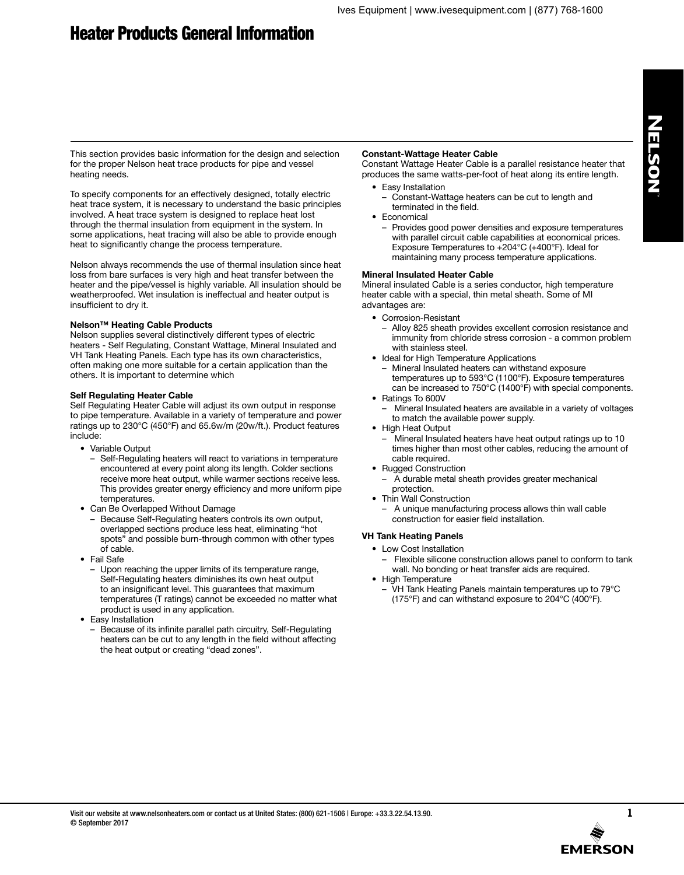# Heater Products General Information

NELSON

This section provides basic information for the design and selection for the proper Nelson heat trace products for pipe and vessel heating needs.

To specify components for an effectively designed, totally electric heat trace system, it is necessary to understand the basic principles involved. A heat trace system is designed to replace heat lost through the thermal insulation from equipment in the system. In some applications, heat tracing will also be able to provide enough heat to significantly change the process temperature.

Nelson always recommends the use of thermal insulation since heat loss from bare surfaces is very high and heat transfer between the heater and the pipe/vessel is highly variable. All insulation should be weatherproofed. Wet insulation is ineffectual and heater output is insufficient to dry it.

# **Nelson™ Heating Cable Products**

Nelson supplies several distinctively different types of electric heaters - Self Regulating, Constant Wattage, Mineral Insulated and VH Tank Heating Panels. Each type has its own characteristics, often making one more suitable for a certain application than the others. It is important to determine which

# **Self Regulating Heater Cable**

Self Regulating Heater Cable will adjust its own output in response to pipe temperature. Available in a variety of temperature and power ratings up to 230°C (450°F) and 65.6w/m (20w/ft.). Product features include:

- Variable Output
	- Self-Regulating heaters will react to variations in temperature encountered at every point along its length. Colder sections receive more heat output, while warmer sections receive less. This provides greater energy efficiency and more uniform pipe temperatures.
- Can Be Overlapped Without Damage
	- Because Self-Regulating heaters controls its own output, overlapped sections produce less heat, eliminating "hot spots" and possible burn-through common with other types of cable.
- Fail Safe
- Upon reaching the upper limits of its temperature range, Self-Regulating heaters diminishes its own heat output to an insignificant level. This guarantees that maximum temperatures (T ratings) cannot be exceeded no matter what product is used in any application.
- Easy Installation
	- Because of its infinite parallel path circuitry, Self-Regulating heaters can be cut to any length in the field without affecting the heat output or creating "dead zones".

### **Constant-Wattage Heater Cable**

Constant Wattage Heater Cable is a parallel resistance heater that produces the same watts-per-foot of heat along its entire length.

- Easy Installation
	- Constant-Wattage heaters can be cut to length and terminated in the field.
- Economical
	- Provides good power densities and exposure temperatures with parallel circuit cable capabilities at economical prices. Exposure Temperatures to +204°C (+400°F). Ideal for maintaining many process temperature applications.

# **Mineral Insulated Heater Cable**

Mineral insulated Cable is a series conductor, high temperature heater cable with a special, thin metal sheath. Some of MI advantages are:

- Corrosion-Resistant
	- Alloy 825 sheath provides excellent corrosion resistance and immunity from chloride stress corrosion - a common problem with stainless steel.
- Ideal for High Temperature Applications
	- Mineral Insulated heaters can withstand exposure temperatures up to 593°C (1100°F). Exposure temperatures can be increased to 750°C (1400°F) with special components.
- Ratings To 600V
	- Mineral Insulated heaters are available in a variety of voltages to match the available power supply.
- High Heat Output
	- Mineral Insulated heaters have heat output ratings up to 10 times higher than most other cables, reducing the amount of cable required.
- Rugged Construction
	- A durable metal sheath provides greater mechanical protection.
- Thin Wall Construction

– A unique manufacturing process allows thin wall cable construction for easier field installation.

# **VH Tank Heating Panels**

- Low Cost Installation
	- Flexible silicone construction allows panel to conform to tank wall. No bonding or heat transfer aids are required.
- High Temperature
	- VH Tank Heating Panels maintain temperatures up to 79°C (175°F) and can withstand exposure to 204°C (400°F).

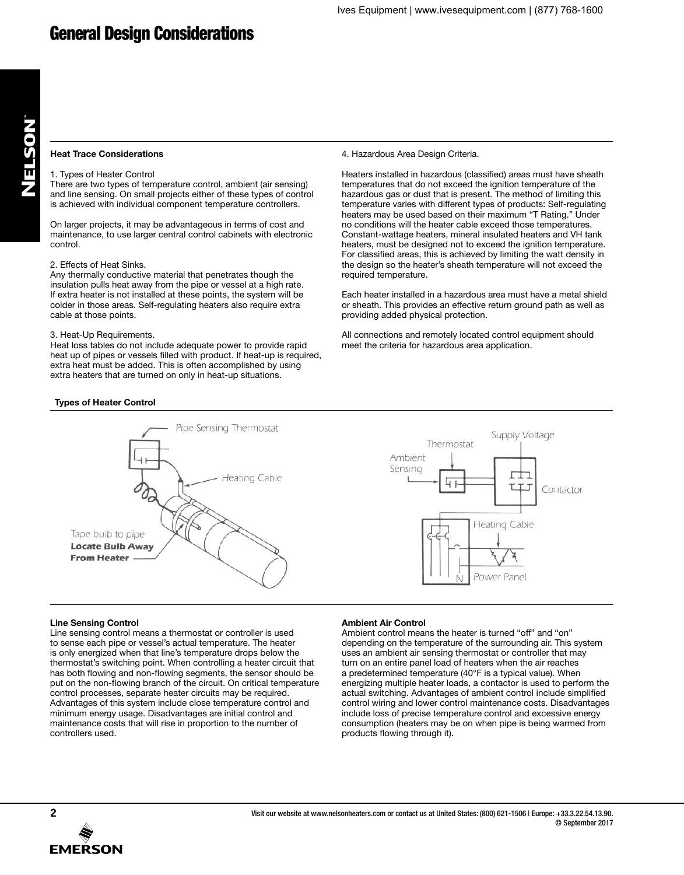# **Heat Trace Considerations**

#### 1. Types of Heater Control

There are two types of temperature control, ambient (air sensing) and line sensing. On small projects either of these types of control is achieved with individual component temperature controllers.

On larger projects, it may be advantageous in terms of cost and maintenance, to use larger central control cabinets with electronic control.

#### 2. Effects of Heat Sinks.

Any thermally conductive material that penetrates though the insulation pulls heat away from the pipe or vessel at a high rate. If extra heater is not installed at these points, the system will be colder in those areas. Self-regulating heaters also require extra cable at those points.

#### 3. Heat-Up Requirements.

Heat loss tables do not include adequate power to provide rapid heat up of pipes or vessels filled with product. If heat-up is required, extra heat must be added. This is often accomplished by using extra heaters that are turned on only in heat-up situations.

4. Hazardous Area Design Criteria.

Heaters installed in hazardous (classified) areas must have sheath temperatures that do not exceed the ignition temperature of the hazardous gas or dust that is present. The method of limiting this temperature varies with different types of products: Self-regulating heaters may be used based on their maximum "T Rating." Under no conditions will the heater cable exceed those temperatures. Constant-wattage heaters, mineral insulated heaters and VH tank heaters, must be designed not to exceed the ignition temperature. For classified areas, this is achieved by limiting the watt density in the design so the heater's sheath temperature will not exceed the required temperature.

Each heater installed in a hazardous area must have a metal shield or sheath. This provides an effective return ground path as well as providing added physical protection.

All connections and remotely located control equipment should meet the criteria for hazardous area application.

# **Types of Heater Control**



#### **Line Sensing Control**

Line sensing control means a thermostat or controller is used to sense each pipe or vessel's actual temperature. The heater is only energized when that line's temperature drops below the thermostat's switching point. When controlling a heater circuit that has both flowing and non-flowing segments, the sensor should be put on the non-flowing branch of the circuit. On critical temperature control processes, separate heater circuits may be required. Advantages of this system include close temperature control and minimum energy usage. Disadvantages are initial control and maintenance costs that will rise in proportion to the number of controllers used.

#### **Ambient Air Control**

Ambient control means the heater is turned "off" and "on" depending on the temperature of the surrounding air. This system uses an ambient air sensing thermostat or controller that may turn on an entire panel load of heaters when the air reaches a predetermined temperature (40°F is a typical value). When energizing multiple heater loads, a contactor is used to perform the actual switching. Advantages of ambient control include simplified control wiring and lower control maintenance costs. Disadvantages include loss of precise temperature control and excessive energy consumption (heaters may be on when pipe is being warmed from products flowing through it).

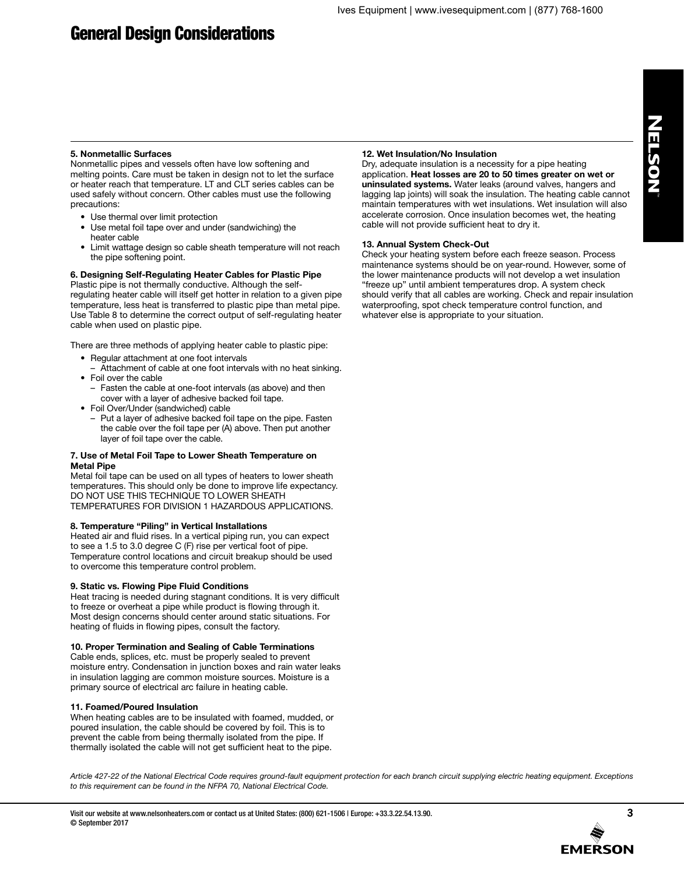# NELSON

# **5. Nonmetallic Surfaces**

Nonmetallic pipes and vessels often have low softening and melting points. Care must be taken in design not to let the surface or heater reach that temperature. LT and CLT series cables can be used safely without concern. Other cables must use the following precautions:

- Use thermal over limit protection
- Use metal foil tape over and under (sandwiching) the heater cable
- Limit wattage design so cable sheath temperature will not reach the pipe softening point.

# **6. Designing Self-Regulating Heater Cables for Plastic Pipe**

Plastic pipe is not thermally conductive. Although the selfregulating heater cable will itself get hotter in relation to a given pipe temperature, less heat is transferred to plastic pipe than metal pipe. Use Table 8 to determine the correct output of self-regulating heater cable when used on plastic pipe.

There are three methods of applying heater cable to plastic pipe:

- Regular attachment at one foot intervals
- Attachment of cable at one foot intervals with no heat sinking. • Foil over the cable
- Fasten the cable at one-foot intervals (as above) and then
- cover with a layer of adhesive backed foil tape.
- Foil Over/Under (sandwiched) cable
	- Put a layer of adhesive backed foil tape on the pipe. Fasten the cable over the foil tape per (A) above. Then put another layer of foil tape over the cable.

# **7. Use of Metal Foil Tape to Lower Sheath Temperature on Metal Pipe**

Metal foil tape can be used on all types of heaters to lower sheath temperatures. This should only be done to improve life expectancy. DO NOT USE THIS TECHNIQUE TO LOWER SHEATH TEMPERATURES FOR DIVISION 1 HAZARDOUS APPLICATIONS.

# **8. Temperature "Piling" in Vertical Installations**

Heated air and fluid rises. In a vertical piping run, you can expect to see a 1.5 to 3.0 degree C (F) rise per vertical foot of pipe. Temperature control locations and circuit breakup should be used to overcome this temperature control problem.

# **9. Static vs. Flowing Pipe Fluid Conditions**

Heat tracing is needed during stagnant conditions. It is very difficult to freeze or overheat a pipe while product is flowing through it. Most design concerns should center around static situations. For heating of fluids in flowing pipes, consult the factory.

# **10. Proper Termination and Sealing of Cable Terminations**

Cable ends, splices, etc. must be properly sealed to prevent moisture entry. Condensation in junction boxes and rain water leaks in insulation lagging are common moisture sources. Moisture is a primary source of electrical arc failure in heating cable.

# **11. Foamed/Poured Insulation**

When heating cables are to be insulated with foamed, mudded, or poured insulation, the cable should be covered by foil. This is to prevent the cable from being thermally isolated from the pipe. If thermally isolated the cable will not get sufficient heat to the pipe.

# **12. Wet Insulation/No Insulation**

Dry, adequate insulation is a necessity for a pipe heating application. **Heat losses are 20 to 50 times greater on wet or uninsulated systems.** Water leaks (around valves, hangers and lagging lap joints) will soak the insulation. The heating cable cannot maintain temperatures with wet insulations. Wet insulation will also accelerate corrosion. Once insulation becomes wet, the heating cable will not provide sufficient heat to dry it.

# **13. Annual System Check-Out**

Check your heating system before each freeze season. Process maintenance systems should be on year-round. However, some of the lower maintenance products will not develop a wet insulation "freeze up" until ambient temperatures drop. A system check should verify that all cables are working. Check and repair insulation waterproofing, spot check temperature control function, and whatever else is appropriate to your situation.

*Article 427-22 of the National Electrical Code requires ground-fault equipment protection for each branch circuit supplying electric heating equipment. Exceptions to this requirement can be found in the NFPA 70, National Electrical Code.*

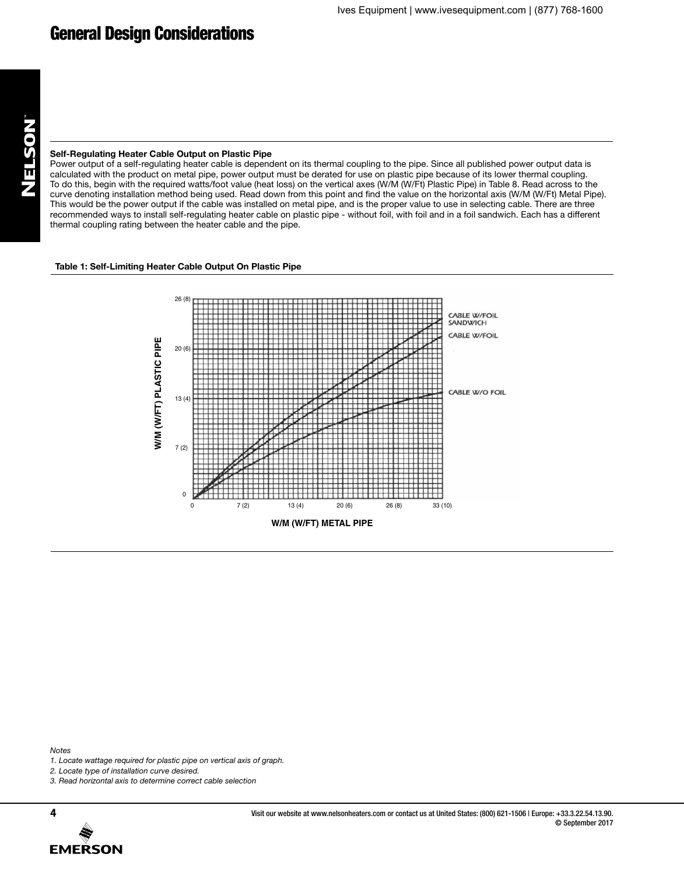# **Self-Regulating Heater Cable Output on Plastic Pipe**

Power output of a self-regulating heater cable is dependent on its thermal coupling to the pipe. Since all published power output data is calculated with the product on metal pipe, power output must be derated for use on plastic pipe because of its lower thermal coupling. To do this, begin with the required watts/foot value (heat loss) on the vertical axes (W/M (W/Ft) Plastic Pipe) in Table 8. Read across to the curve denoting installation method being used. Read down from this point and find the value on the horizontal axis (W/M (W/Ft) Metal Pipe). This would be the power output if the cable was installed on metal pipe, and is the proper value to use in selecting cable. There are three recommended ways to install self-regulating heater cable on plastic pipe - without foil, with foil and in a foil sandwich. Each has a different thermal coupling rating between the heater cable and the pipe.

# **Table 1: Self-Limiting Heater Cable Output On Plastic Pipe**



*Notes*

- *1. Locate wattage required for plastic pipe on vertical axis of graph.*
- *2. Locate type of installation curve desired.*
- *3. Read horizontal axis to determine correct cable selection*